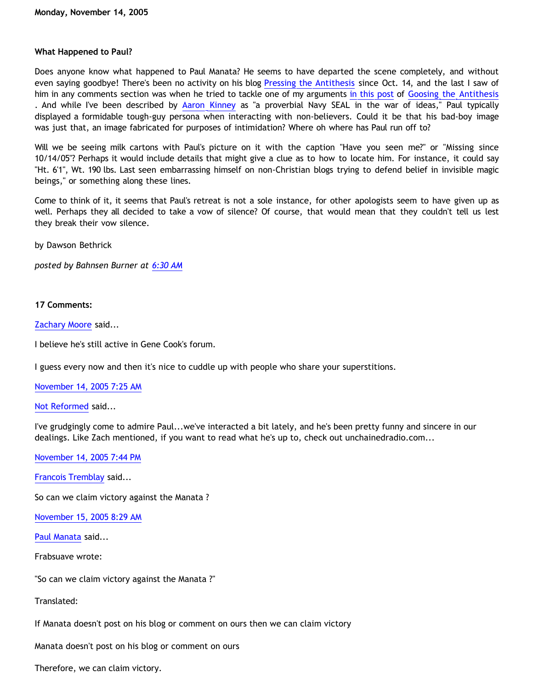## **What Happened to Paul?**

Does anyone know what happened to Paul Manata? He seems to have departed the scene completely, and without even saying goodbye! There's been no activity on his blog [Pressing the Antithesis](http://presstheantithesis.blogspot.com/) since Oct. 14, and the last I saw of him in any comments section was when he tried to tackle one of my arguments [in this post](http://goosetheantithesis.blogspot.com/2005/10/question-of-day-2.html) of [Goosing the Antithesis](http://goosetheantithesis.blogspot.com/) . And while I've been described by [Aaron Kinney](http://killtheafterlife.blogspot.com/2005/10/atheist-presupposes-theists-de.html) as "a proverbial Navy SEAL in the war of ideas," Paul typically displayed a formidable tough-guy persona when interacting with non-believers. Could it be that his bad-boy image was just that, an image fabricated for purposes of intimidation? Where oh where has Paul run off to?

Will we be seeing milk cartons with Paul's picture on it with the caption "Have you seen me?" or "Missing since 10/14/05"? Perhaps it would include details that might give a clue as to how to locate him. For instance, it could say "Ht. 6'1", Wt. 190 lbs. Last seen embarrassing himself on non-Christian blogs trying to defend belief in invisible magic beings," or something along these lines.

Come to think of it, it seems that Paul's retreat is not a sole instance, for other apologists seem to have given up as well. Perhaps they all decided to take a vow of silence? Of course, that would mean that they couldn't tell us lest they break their vow silence.

by Dawson Bethrick

*posted by Bahnsen Burner at [6:30 AM](http://bahnsenburner.blogspot.com/2005/11/what-happened-to-paul.html)*

## **17 Comments:**

[Zachary Moore](http://www.blogger.com/profile/7564330) said...

I believe he's still active in Gene Cook's forum.

I guess every now and then it's nice to cuddle up with people who share your superstitions.

[November 14, 2005 7:25 AM](http://bahnsenburner.blogspot.com/2005/11/113198194075652354)

[Not Reformed](http://www.blogger.com/profile/8159639) said...

I've grudgingly come to admire Paul...we've interacted a bit lately, and he's been pretty funny and sincere in our dealings. Like Zach mentioned, if you want to read what he's up to, check out unchainedradio.com...

[November 14, 2005 7:44 PM](http://bahnsenburner.blogspot.com/2005/11/113202627646550147)

[Francois Tremblay](http://www.blogger.com/profile/7715861) said...

So can we claim victory against the Manata ?

[November 15, 2005 8:29 AM](http://bahnsenburner.blogspot.com/2005/11/113207214495964099)

[Paul Manata](http://www.blogger.com/profile/7464842) said...

Frabsuave wrote:

"So can we claim victory against the Manata ?"

Translated:

If Manata doesn't post on his blog or comment on ours then we can claim victory

Manata doesn't post on his blog or comment on ours

Therefore, we can claim victory.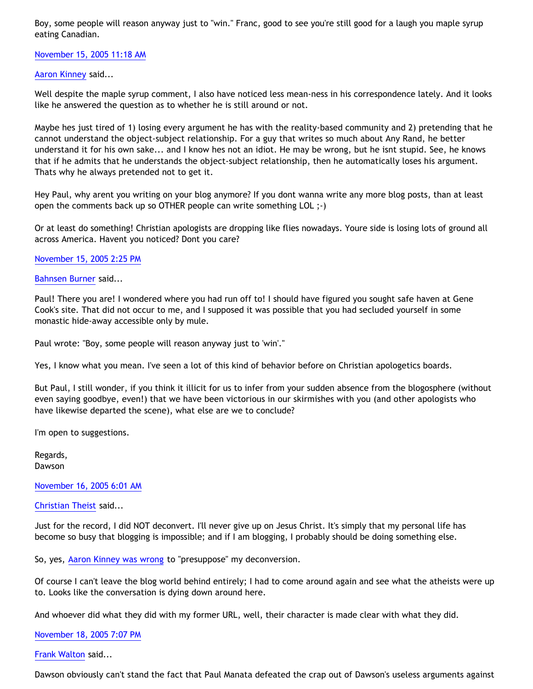Boy, some people will reason anyway just to "win." Franc, good to see you're still good for a laugh you maple syrup eating Canadian.

[November 15, 2005 11:18 AM](http://bahnsenburner.blogspot.com/2005/11/113208233872933015)

[Aaron Kinney](http://www.blogger.com/profile/8138664) said...

Well despite the maple syrup comment, I also have noticed less mean-ness in his correspondence lately. And it looks like he answered the question as to whether he is still around or not.

Maybe hes just tired of 1) losing every argument he has with the reality-based community and 2) pretending that he cannot understand the object-subject relationship. For a guy that writes so much about Any Rand, he better understand it for his own sake... and I know hes not an idiot. He may be wrong, but he isnt stupid. See, he knows that if he admits that he understands the object-subject relationship, then he automatically loses his argument. Thats why he always pretended not to get it.

Hey Paul, why arent you writing on your blog anymore? If you dont wanna write any more blog posts, than at least open the comments back up so OTHER people can write something LOL ;-)

Or at least do something! Christian apologists are dropping like flies nowadays. Youre side is losing lots of ground all across America. Havent you noticed? Dont you care?

[November 15, 2005 2:25 PM](http://bahnsenburner.blogspot.com/2005/11/113209354255077830)

[Bahnsen Burner](http://www.blogger.com/profile/7766918) said...

Paul! There you are! I wondered where you had run off to! I should have figured you sought safe haven at Gene Cook's site. That did not occur to me, and I supposed it was possible that you had secluded yourself in some monastic hide-away accessible only by mule.

Paul wrote: "Boy, some people will reason anyway just to 'win'."

Yes, I know what you mean. I've seen a lot of this kind of behavior before on Christian apologetics boards.

But Paul, I still wonder, if you think it illicit for us to infer from your sudden absence from the blogosphere (without even saying goodbye, even!) that we have been victorious in our skirmishes with you (and other apologists who have likewise departed the scene), what else are we to conclude?

I'm open to suggestions.

Regards, Dawson

[November 16, 2005 6:01 AM](http://bahnsenburner.blogspot.com/2005/11/113214969749815276)

[Christian Theist](http://www.blogger.com/profile/13040841) said...

Just for the record, I did NOT deconvert. I'll never give up on Jesus Christ. It's simply that my personal life has become so busy that blogging is impossible; and if I am blogging, I probably should be doing something else.

So, yes, [Aaron Kinney was wrong](http://killtheafterlife.blogspot.com/2005/10/atheist-presupposes-theists-de.html) to "presuppose" my deconversion.

Of course I can't leave the blog world behind entirely; I had to come around again and see what the atheists were up to. Looks like the conversation is dying down around here.

And whoever did what they did with my former URL, well, their character is made clear with what they did.

[November 18, 2005 7:07 PM](http://bahnsenburner.blogspot.com/2005/11/113236962115140639)

[Frank Walton](http://www.blogger.com/profile/10663796) said...

Dawson obviously can't stand the fact that Paul Manata defeated the crap out of Dawson's useless arguments against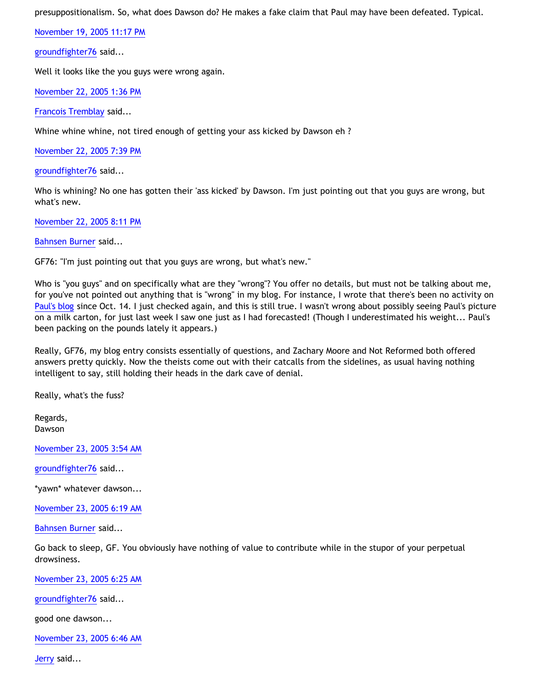presuppositionalism. So, what does Dawson do? He makes a fake claim that Paul may have been defeated. Typical.

[November 19, 2005 11:17 PM](http://bahnsenburner.blogspot.com/2005/11/113247103965617642)

[groundfighter76](http://www.blogger.com/profile/8210797) said...

Well it looks like the you guys were wrong again.

[November 22, 2005 1:36 PM](http://bahnsenburner.blogspot.com/2005/11/113269541261281868)

[Francois Tremblay](http://www.blogger.com/profile/7715861) said...

Whine whine whine, not tired enough of getting your ass kicked by Dawson eh ?

[November 22, 2005 7:39 PM](http://bahnsenburner.blogspot.com/2005/11/113271715950520104)

[groundfighter76](http://www.blogger.com/profile/8210797) said...

Who is whining? No one has gotten their 'ass kicked' by Dawson. I'm just pointing out that you guys are wrong, but what's new.

[November 22, 2005 8:11 PM](http://bahnsenburner.blogspot.com/2005/11/113271908848957238)

[Bahnsen Burner](http://www.blogger.com/profile/7766918) said...

GF76: "I'm just pointing out that you guys are wrong, but what's new."

Who is "you guys" and on specifically what are they "wrong"? You offer no details, but must not be talking about me, for you've not pointed out anything that is "wrong" in my blog. For instance, I wrote that there's been no activity on [Paul's blog](http://presstheantithesis.blogspot.com/) since Oct. 14. I just checked again, and this is still true. I wasn't wrong about possibly seeing Paul's picture on a milk carton, for just last week I saw one just as I had forecasted! (Though I underestimated his weight... Paul's been packing on the pounds lately it appears.)

Really, GF76, my blog entry consists essentially of questions, and Zachary Moore and Not Reformed both offered answers pretty quickly. Now the theists come out with their catcalls from the sidelines, as usual having nothing intelligent to say, still holding their heads in the dark cave of denial.

Really, what's the fuss?

Regards, Dawson

[November 23, 2005 3:54 AM](http://bahnsenburner.blogspot.com/2005/11/113274686410205301)

[groundfighter76](http://www.blogger.com/profile/8210797) said...

\*yawn\* whatever dawson...

[November 23, 2005 6:19 AM](http://bahnsenburner.blogspot.com/2005/11/113275555630492968)

[Bahnsen Burner](http://www.blogger.com/profile/7766918) said...

Go back to sleep, GF. You obviously have nothing of value to contribute while in the stupor of your perpetual drowsiness.

[November 23, 2005 6:25 AM](http://bahnsenburner.blogspot.com/2005/11/113275592017171235)

[groundfighter76](http://www.blogger.com/profile/8210797) said...

good one dawson...

[November 23, 2005 6:46 AM](http://bahnsenburner.blogspot.com/2005/11/113275719487387137)

[Jerry](http://www.blogger.com/profile/12959741) said...